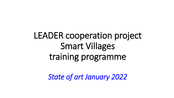LEADER cooperation project Smart Villages training programme

*State of art January 2022*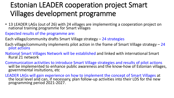### Estonian LEADER cooperation project Smart Villages development programme

- 13 LEADER LAGs (out of 26) with 24 villages are implementing a cooperation project on national training programme for Smart villages
- Expected results of the programme are:

Each village/community drafts Smart Village strategy – 24 strategies

- Each village/community implements pilot action in the frame of Smart Village strategy  $-24$ pilot actions
- National Smart Villages Network will be established and linked with international Smart Rural 21 network
- Communication activities to introduce Smart Village strategies and results of pilot actions will be implemented to enhance public awareness and the know-how of Estonian villages, governmental insitutions, etc
- LEADER LAGs will gain experience on how to implement the concept of Smart Villages at the local level and can, if necessary, plan follow-up activities into their LDS for the new programming period 2021-2027.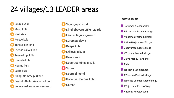# 24 villages/13 LEADER areas

- Luunja vald
- Meeri küla
- Navi küla
- **Purtse küla**
- Taheva piirkond
- Otepää valla külad
- Taevaskoja küla
- Uuesalu küla
- Neeme küla
- Lubja küla
- Kilingi-Nõmme piirkond
- **Eassalu-Neitsi külade piirkond**
- Venevere-Paasvere-Laekvere...
- Vajangu piirkond Kiltsi-Ebavere-Väike-Maarja Lääne-Harju kogukond Kuremaa alevik Kääpa küla Kriilevälja küla **Ravila** küla Kose-Uuemõisa alevik **X** Virtsu
- Koeru piirkond
- Rohelise Jõemaa külad
- **X** Kamari

#### Tegevusgrupid

- **O** Tartumaa Arendusselts
- Pärnu-Lahe Partnerluskogu
- Valgamaa Partnerluskogu
- Lääne-Harju Koostöökogu
- **O** Jõgevamaa Koostöökoda
- Võrumaa Partnerluskogu
- **O** Järva Arengu Partnerid
- **O** PAIK
- **O** Ida-Harju Koostöökoda
- **O** Põlvamaa Partnerluskogu
- Rohelise Jõemaa Koostöökogu
- Põhja-Harju Koostöökogu
- Virumaa Koostöökogu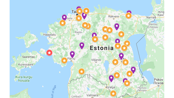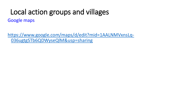#### Local action groups and villages Google maps

[https://www.google.com/maps/d/edit?mid=1AALNMVxnsLq-](https://www.google.com/maps/d/edit?mid=1AALNMVxnsLq-036ugtgSTb6QDWyseQlM&usp=sharing)036ugtgSTb6QDWyseQlM&usp=sharing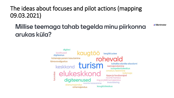#### The ideas about focuses and pilot actions (mapping 09.03.2021)

#### Millise teemaga tahab tegelda minu piirkonna arukas küla?



**Mentimeter**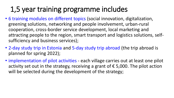## 1,5 year training programme includes

- 6 training modules on different topics (social innovation, digitalization, greening solutions, networking and people involvement, urban-rural cooperation, cross-border service development, local marketing and attracting people to the region, smart transport and logistics solutions, selfsufficiency and business services);
- 2-day study trip in Estonia and 5-day study trip abroad (the trip abroad is planned for spring 2022);
- implementation of pilot activities each village carries out at least one pilot activity set out in the strategy, receiving a grant of  $\epsilon$  5,000. The pilot action will be selected during the development of the strategy;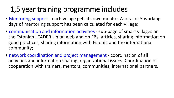## 1,5 year training programme includes

- Mentoring support each village gets its own mentor. A total of 5 working days of mentoring support has been calculated for each village;
- communication and information activities sub-page of smart villages on the Estonian LEADER Union web and on FBs, articles, sharing information on good practices, sharing information with Estonia and the international community;
- network coordination and project management coordination of all activities and information sharing, organizational issues. Coordination of cooperation with trainers, mentors, communities, international partners.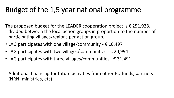## Budget of the 1,5 year national programme

The proposed budget for the LEADER cooperation project is  $\epsilon$  251,928, divided between the local action groups in proportion to the number of participating villages/regions per action group.

- LAG participates with one village/community  $\epsilon$  10,497
- LAG participates with two villages/communities  $\epsilon$  20,994
- LAG participates with three villages/communities  $\epsilon$  31,491

Additional financing for future activities from other EU funds, partners (NRN, ministries, etc)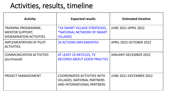#### Activities, results, timeline

| <b>Activity</b>                                                                  | <b>Expected results</b>                                                                                | <b>Estimated timeline</b>      |
|----------------------------------------------------------------------------------|--------------------------------------------------------------------------------------------------------|--------------------------------|
| TRAINING PROGRAMME,<br><b>MENTOR SUPPORT,</b><br><b>DISSEMINATION ACTIVITIES</b> | *24 SMART VILLAGE STRATEGIES,<br>*NATIONAL NETWORK OF SMART<br><b>VILLAGES</b>                         | <b>JUNE 2021-APRIL 2022</b>    |
| <b>IMPLEMENTATION OF PILOT</b><br><b>ACTIVITIES</b>                              | <b>24 ACTIONS IMPLEMENTED</b>                                                                          | APRIL 2022-OCTOBER 2022        |
| <b>COMMUNICATION ACTIVITIES</b><br>(purchased)                                   | AT LEAST 10 ARTICLES, TV<br><b>RECORDS ABOUT GOOD PRACTICE</b>                                         | <b>JANUARY-DECEMBER 2022</b>   |
| <b>PROJECT MANAGEMENT</b>                                                        | <b>COORDINATED ACTIVITIES WITH</b><br><b>VILLAGES, NATIONAL PARTNERS</b><br>AND INTERNATIONAL PARTNERS | <b>JUNE 2021-DECEMBER 2022</b> |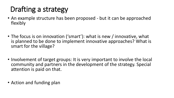## Drafting a strategy

- An example structure has been proposed but it can be approached flexibly
- The focus is on innovation ('smart'): what is new / innovative, what is planned to be done to implement innovative approaches? What is smart for the village?
- Involvement of target groups: It is very important to involve the local community and partners in the development of the strategy. Special attention is paid on that.
- Action and funding plan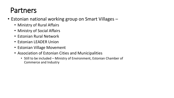#### Partners

- Estonian national working group on Smart Villages
	- Ministry of Rural Affairs
	- Ministry of Social Affairs
	- Estonian Rural Network
	- Estonian LEADER Union
	- Estonian Village Movement
	- Association of Estonian Cities and Municipalities
		- Still to be included Ministry of Environment, Estonian Chamber of Commerce and Industry